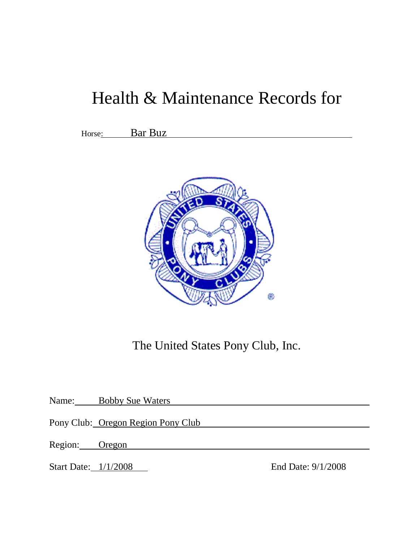# Health & Maintenance Records for

<u> 1980 - Johann Stoff, fransk politik (d. 1980)</u>

Horse: Bar Buz



The United States Pony Club, Inc.

Name: Bobby Sue Waters

Pony Club: Oregon Region Pony Club

Region: Oregon extension of the second second second second second second second second second second second second second second second second second second second second second second second second second second second s

Start Date: 1/1/2008 End Date: 9/1/2008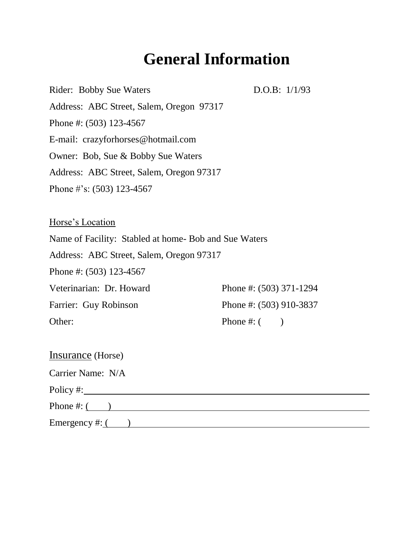# **General Information**

Rider: Bobby Sue Waters D.O.B: 1/1/93 Address: ABC Street, Salem, Oregon 97317 Phone #: (503) 123-4567 E-mail: crazyforhorses@hotmail.com Owner: Bob, Sue & Bobby Sue Waters Address: ABC Street, Salem, Oregon 97317 Phone #'s: (503) 123-4567

Horse's Location Name of Facility: Stabled at home- Bob and Sue Waters Address: ABC Street, Salem, Oregon 97317 Phone #: (503) 123-4567 Veterinarian: Dr. Howard Phone #: (503) 371-1294 Farrier: Guy Robinson Phone #: (503) 910-3837 Other: Phone #: ( )

| <b>Insurance</b> (Horse) |  |
|--------------------------|--|
| Carrier Name: N/A        |  |
| Policy $\#$ :            |  |
| Phone $\#$ : $($         |  |
| Emergency #: $($         |  |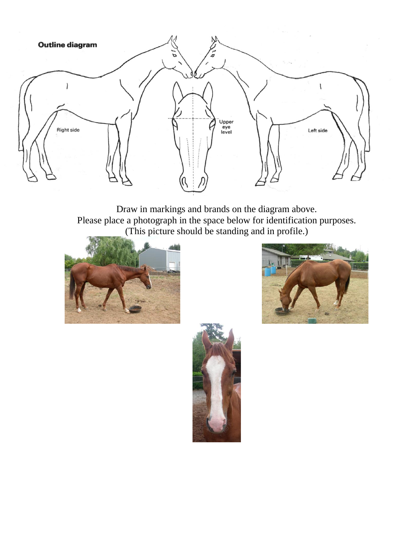

Draw in markings and brands on the diagram above. Please place a photograph in the space below for identification purposes. (This picture should be standing and in profile.)





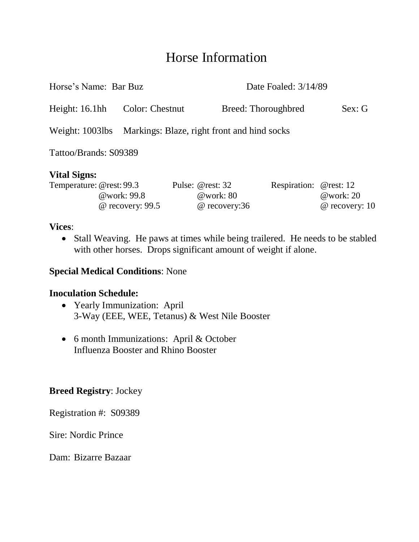#### Horse Information

| Horse's Name: Bar Buz    |             |                  |                                                  | Date Foaled: 3/14/89   |                             |
|--------------------------|-------------|------------------|--------------------------------------------------|------------------------|-----------------------------|
| Height: 16.1hh           |             | Color: Chestnut  |                                                  | Breed: Thoroughbred    | Sex: G                      |
| Weight: $1003$ lbs       |             |                  | Markings: Blaze, right front and hind socks      |                        |                             |
| Tattoo/Brands: S09389    |             |                  |                                                  |                        |                             |
| <b>Vital Signs:</b>      |             |                  |                                                  |                        |                             |
| Temperature: @rest: 99.3 | @work: 99.8 | @ recovery: 99.5 | Pulse: @rest: 32<br>@work: $80$<br>@ recovery:36 | Respiration: @rest: 12 | @work: 20<br>@ recovery: 10 |

#### **Vices**:

• Stall Weaving. He paws at times while being trailered. He needs to be stabled with other horses. Drops significant amount of weight if alone.

#### **Special Medical Conditions**: None

#### **Inoculation Schedule:**

- Yearly Immunization: April 3-Way (EEE, WEE, Tetanus) & West Nile Booster
- 6 month Immunizations: April & October Influenza Booster and Rhino Booster

#### **Breed Registry**: Jockey

Registration #: S09389

Sire: Nordic Prince

Dam: Bizarre Bazaar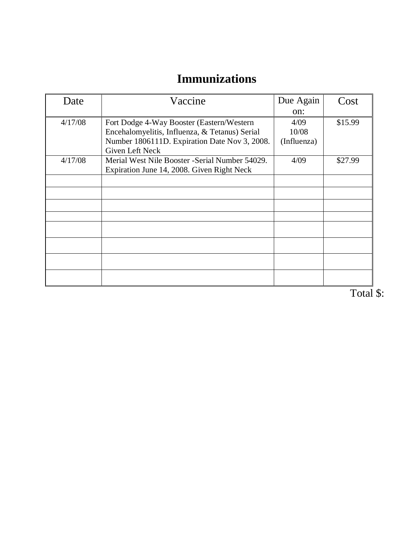### **Immunizations**

| Date    | Vaccine                                         | Due Again   | Cost    |
|---------|-------------------------------------------------|-------------|---------|
|         |                                                 | on:         |         |
| 4/17/08 | Fort Dodge 4-Way Booster (Eastern/Western)      | 4/09        | \$15.99 |
|         | Encehalomyelitis, Influenza, & Tetanus) Serial  | 10/08       |         |
|         | Number 1806111D. Expiration Date Nov 3, 2008.   | (Influenza) |         |
|         | Given Left Neck                                 |             |         |
| 4/17/08 | Merial West Nile Booster - Serial Number 54029. | 4/09        | \$27.99 |
|         | Expiration June 14, 2008. Given Right Neck      |             |         |
|         |                                                 |             |         |
|         |                                                 |             |         |
|         |                                                 |             |         |
|         |                                                 |             |         |
|         |                                                 |             |         |
|         |                                                 |             |         |
|         |                                                 |             |         |
|         |                                                 |             |         |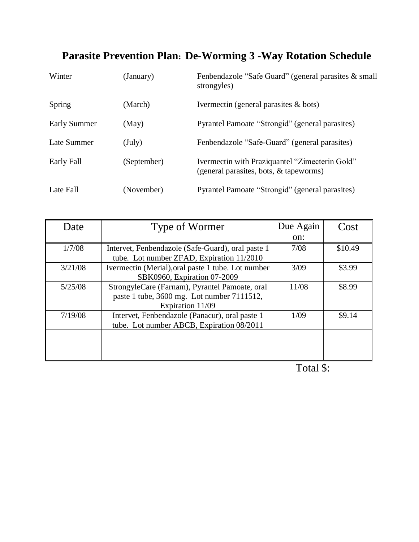### **Parasite Prevention Plan: De-Worming 3 -Way Rotation Schedule**

| Winter              | (January)         | Fenbendazole "Safe Guard" (general parasites & small<br>strongyles)                      |
|---------------------|-------------------|------------------------------------------------------------------------------------------|
| Spring              | (March)           | Ivermectin (general parasites $\&$ bots)                                                 |
| <b>Early Summer</b> | (May)             | Pyrantel Pamoate "Strongid" (general parasites)                                          |
| Late Summer         | $(\mathrm{July})$ | Fenbendazole "Safe-Guard" (general parasites)                                            |
| Early Fall          | (September)       | Ivermectin with Praziquantel "Zimecterin Gold"<br>(general parasites, bots, & tapeworms) |
| Late Fall           | (November)        | Pyrantel Pamoate "Strongid" (general parasites)                                          |

| Date    | Type of Wormer                                     | Due Again | Cost    |
|---------|----------------------------------------------------|-----------|---------|
|         |                                                    | on:       |         |
| 1/7/08  | Intervet, Fenbendazole (Safe-Guard), oral paste 1  | 7/08      | \$10.49 |
|         | tube. Lot number ZFAD, Expiration 11/2010          |           |         |
| 3/21/08 | Ivermectin (Merial), oral paste 1 tube. Lot number | 3/09      | \$3.99  |
|         | SBK0960, Expiration 07-2009                        |           |         |
| 5/25/08 | StrongyleCare (Farnam), Pyrantel Pamoate, oral     | 11/08     | \$8.99  |
|         | paste 1 tube, 3600 mg. Lot number 7111512,         |           |         |
|         | Expiration 11/09                                   |           |         |
| 7/19/08 | Intervet, Fenbendazole (Panacur), oral paste 1     | 1/09      | \$9.14  |
|         | tube. Lot number ABCB, Expiration 08/2011          |           |         |
|         |                                                    |           |         |
|         |                                                    |           |         |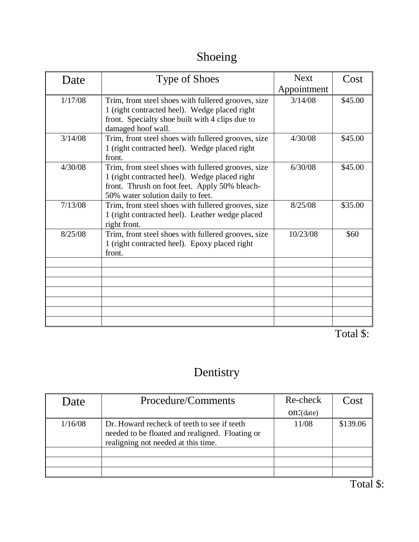## Shoeing

| Date    | <b>Type of Shoes</b>                                                                                                                                                                       | <b>Next</b><br>Appointment | Cost    |
|---------|--------------------------------------------------------------------------------------------------------------------------------------------------------------------------------------------|----------------------------|---------|
| 1/17/08 | Trim, front steel shoes with fullered grooves, size<br>1 (right contracted heel). Wedge placed right<br>front. Specialty shoe built with 4 clips due to<br>damaged hoof wall.              | 3/14/08                    | \$45.00 |
| 3/14/08 | Trim, front steel shoes with fullered grooves, size<br>1 (right contracted heel). Wedge placed right<br>front.                                                                             | 4/30/08                    | \$45.00 |
| 4/30/08 | Trim, front steel shoes with fullered grooves, size<br>1 (right contracted heel). Wedge placed right<br>front. Thrush on foot feet. Apply 50% bleach-<br>50% water solution daily to feet. | 6/30/08                    | \$45.00 |
| 7/13/08 | Trim, front steel shoes with fullered grooves, size<br>1 (right contracted heel). Leather wedge placed<br>right front.                                                                     | 8/25/08                    | \$35.00 |
| 8/25/08 | Trim, front steel shoes with fullered grooves, size<br>1 (right contracted heel). Epoxy placed right<br>front.                                                                             | 10/23/08                   | \$60    |
|         |                                                                                                                                                                                            |                            |         |
|         |                                                                                                                                                                                            |                            |         |
|         |                                                                                                                                                                                            |                            |         |
|         |                                                                                                                                                                                            |                            |         |

Total \$:

## Dentistry

| Date    | Procedure/Comments                                                                                                                    | Re-check  | Cost     |
|---------|---------------------------------------------------------------------------------------------------------------------------------------|-----------|----------|
|         |                                                                                                                                       | on:(date) |          |
| 1/16/08 | Dr. Howard recheck of teeth to see if teeth<br>needed to be floated and realigned. Floating or<br>realigning not needed at this time. | 11/08     | \$139.06 |
|         |                                                                                                                                       |           |          |
|         |                                                                                                                                       |           |          |
|         |                                                                                                                                       |           |          |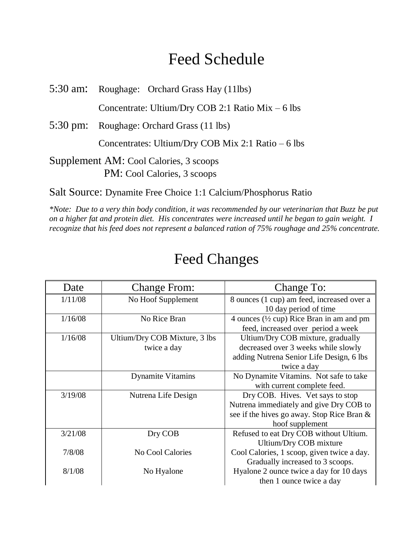## Feed Schedule

5:30 am: Roughage: Orchard Grass Hay (11lbs)

Concentrate: Ultium/Dry COB 2:1 Ratio Mix – 6 lbs

5:30 pm: Roughage: Orchard Grass (11 lbs)

Concentrates: Ultium/Dry COB Mix 2:1 Ratio – 6 lbs

Supplement AM: Cool Calories, 3 scoops PM: Cool Calories, 3 scoops

Salt Source: Dynamite Free Choice 1:1 Calcium/Phosphorus Ratio

*\*Note: Due to a very thin body condition, it was recommended by our veterinarian that Buzz be put on a higher fat and protein diet. His concentrates were increased until he began to gain weight. I recognize that his feed does not represent a balanced ration of 75% roughage and 25% concentrate.*

| Date    | <b>Change From:</b>                          | Change To:                                                                                                                                   |
|---------|----------------------------------------------|----------------------------------------------------------------------------------------------------------------------------------------------|
| 1/11/08 | No Hoof Supplement                           | 8 ounces (1 cup) am feed, increased over a<br>10 day period of time                                                                          |
| 1/16/08 | No Rice Bran                                 | 4 ounces $(\frac{1}{2}$ cup) Rice Bran in am and pm<br>feed, increased over period a week                                                    |
| 1/16/08 | Ultium/Dry COB Mixture, 3 lbs<br>twice a day | Ultium/Dry COB mixture, gradually<br>decreased over 3 weeks while slowly<br>adding Nutrena Senior Life Design, 6 lbs<br>twice a day          |
|         | <b>Dynamite Vitamins</b>                     | No Dynamite Vitamins. Not safe to take<br>with current complete feed.                                                                        |
| 3/19/08 | Nutrena Life Design                          | Dry COB. Hives. Vet says to stop<br>Nutrena immediately and give Dry COB to<br>see if the hives go away. Stop Rice Bran &<br>hoof supplement |
| 3/21/08 | Dry COB                                      | Refused to eat Dry COB without Ultium.<br>Ultium/Dry COB mixture                                                                             |
| 7/8/08  | No Cool Calories                             | Cool Calories, 1 scoop, given twice a day.<br>Gradually increased to 3 scoops.                                                               |
| 8/1/08  | No Hyalone                                   | Hyalone 2 ounce twice a day for 10 days<br>then 1 ounce twice a day                                                                          |

### Feed Changes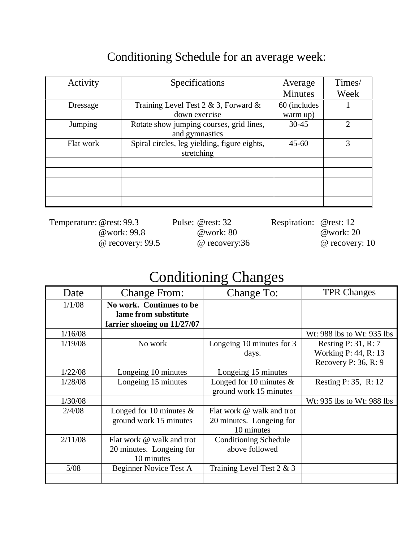#### Conditioning Schedule for an average week:

| Activity  | Specifications                                             | Average<br><b>Minutes</b> | Times/<br>Week |
|-----------|------------------------------------------------------------|---------------------------|----------------|
| Dressage  | Training Level Test 2 & 3, Forward &<br>down exercise      | 60 (includes<br>warm up)  |                |
| Jumping   | Rotate show jumping courses, grid lines,<br>and gymnastics | $30 - 45$                 | $\mathfrak{D}$ |
| Flat work | Spiral circles, leg yielding, figure eights,<br>stretching | $45 - 60$                 | 3              |
|           |                                                            |                           |                |
|           |                                                            |                           |                |
|           |                                                            |                           |                |
|           |                                                            |                           |                |
|           |                                                            |                           |                |

Temperature: @rest: 99.3 Pulse: @rest: 32 Respiration: @rest: 12 @work: 99.8 @work: 80 @work: 20

@ recovery: 99.5 @ recovery:36 @ recovery: 10

### Conditioning Changes

| Date    | <b>Change From:</b>                                                             | Change To:                                                          | <b>TPR Changes</b>                                                      |
|---------|---------------------------------------------------------------------------------|---------------------------------------------------------------------|-------------------------------------------------------------------------|
| 1/1/08  | No work. Continues to be<br>lame from substitute<br>farrier shoeing on 11/27/07 |                                                                     |                                                                         |
| 1/16/08 |                                                                                 |                                                                     | Wt: 988 lbs to Wt: 935 lbs                                              |
| 1/19/08 | No work                                                                         | Longeing 10 minutes for 3<br>days.                                  | Resting $P: 31, R: 7$<br>Working P: 44, R: 13<br>Recovery P: $36, R: 9$ |
| 1/22/08 | Longeing 10 minutes                                                             | Longeing 15 minutes                                                 |                                                                         |
| 1/28/08 | Longeing 15 minutes                                                             | Longed for 10 minutes $\&$<br>ground work 15 minutes                | Resting P: 35, R: 12                                                    |
| 1/30/08 |                                                                                 |                                                                     | Wt: 935 lbs to Wt: 988 lbs                                              |
| 2/4/08  | Longed for 10 minutes $\&$<br>ground work 15 minutes                            | Flat work @ walk and trot<br>20 minutes. Longeing for<br>10 minutes |                                                                         |
| 2/11/08 | Flat work @ walk and trot<br>20 minutes. Longeing for<br>10 minutes             | <b>Conditioning Schedule</b><br>above followed                      |                                                                         |
| 5/08    | <b>Beginner Novice Test A</b>                                                   | Training Level Test 2 & 3                                           |                                                                         |
|         |                                                                                 |                                                                     |                                                                         |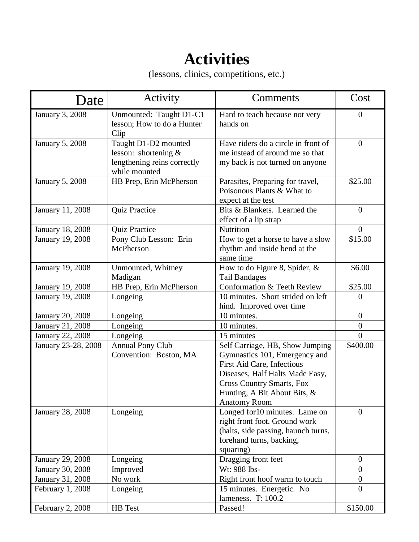# **Activities**

(lessons, clinics, competitions, etc.)

| Date                    | Activity                                                                                     | Comments                                                                                                                                                                                                                     | Cost             |
|-------------------------|----------------------------------------------------------------------------------------------|------------------------------------------------------------------------------------------------------------------------------------------------------------------------------------------------------------------------------|------------------|
| January 3, 2008         | Unmounted: Taught D1-C1<br>lesson; How to do a Hunter<br>Clip                                | Hard to teach because not very<br>hands on                                                                                                                                                                                   | $\theta$         |
| <b>January 5, 2008</b>  | Taught D1-D2 mounted<br>lesson: shortening &<br>lengthening reins correctly<br>while mounted | Have riders do a circle in front of<br>me instead of around me so that<br>my back is not turned on anyone                                                                                                                    | $\overline{0}$   |
| January 5, 2008         | HB Prep, Erin McPherson                                                                      | Parasites, Preparing for travel,<br>Poisonous Plants & What to<br>expect at the test                                                                                                                                         | \$25.00          |
| January 11, 2008        | <b>Quiz Practice</b>                                                                         | Bits & Blankets. Learned the<br>effect of a lip strap                                                                                                                                                                        | $\overline{0}$   |
| January 18, 2008        | <b>Quiz Practice</b>                                                                         | Nutrition                                                                                                                                                                                                                    | $\overline{0}$   |
| January 19, 2008        | Pony Club Lesson: Erin<br>McPherson                                                          | How to get a horse to have a slow<br>rhythm and inside bend at the<br>same time                                                                                                                                              | \$15.00          |
| January 19, 2008        | Unmounted, Whitney<br>Madigan                                                                | How to do Figure 8, Spider, &<br><b>Tail Bandages</b>                                                                                                                                                                        | \$6.00           |
| January 19, 2008        | HB Prep, Erin McPherson                                                                      | Conformation & Teeth Review                                                                                                                                                                                                  | \$25.00          |
| January 19, 2008        | Longeing                                                                                     | 10 minutes. Short strided on left<br>hind. Improved over time                                                                                                                                                                | $\theta$         |
| <b>January 20, 2008</b> | Longeing                                                                                     | 10 minutes.                                                                                                                                                                                                                  | $\overline{0}$   |
| January 21, 2008        | Longeing                                                                                     | 10 minutes.                                                                                                                                                                                                                  | $\boldsymbol{0}$ |
| January 22, 2008        | Longeing                                                                                     | 15 minutes                                                                                                                                                                                                                   | $\theta$         |
| January 23-28, 2008     | <b>Annual Pony Club</b><br>Convention: Boston, MA                                            | Self Carriage, HB, Show Jumping<br>Gymnastics 101, Emergency and<br>First Aid Care, Infectious<br>Diseases, Half Halts Made Easy,<br><b>Cross Country Smarts, Fox</b><br>Hunting, A Bit About Bits, &<br><b>Anatomy Room</b> | \$400.00         |
| <b>January 28, 2008</b> | Longeing                                                                                     | Longed for 10 minutes. Lame on<br>right front foot. Ground work<br>(halts, side passing, haunch turns,<br>forehand turns, backing,<br>squaring)                                                                              | $\overline{0}$   |
| January 29, 2008        | Longeing                                                                                     | Dragging front feet                                                                                                                                                                                                          | $\overline{0}$   |
| <b>January 30, 2008</b> | Improved                                                                                     | Wt: 988 lbs-                                                                                                                                                                                                                 | $\overline{0}$   |
| January 31, 2008        | No work                                                                                      | Right front hoof warm to touch                                                                                                                                                                                               | $\overline{0}$   |
| February 1, 2008        | Longeing                                                                                     | 15 minutes. Energetic. No<br>lameness. T: 100.2                                                                                                                                                                              | $\overline{0}$   |
| February 2, 2008        | HB Test                                                                                      | Passed!                                                                                                                                                                                                                      | \$150.00         |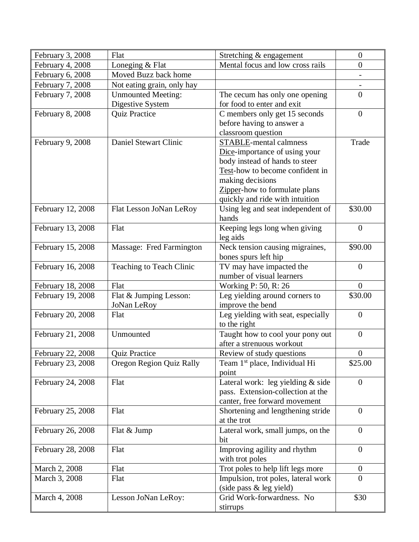| February 3, 2008  | Flat                            | Stretching & engagement                              | $\theta$         |
|-------------------|---------------------------------|------------------------------------------------------|------------------|
| February 4, 2008  | Loneging & Flat                 | Mental focus and low cross rails                     | $\boldsymbol{0}$ |
| February 6, 2008  | Moved Buzz back home            |                                                      |                  |
| February 7, 2008  | Not eating grain, only hay      |                                                      |                  |
| February 7, 2008  | <b>Unmounted Meeting:</b>       | The cecum has only one opening                       | $\overline{0}$   |
|                   | Digestive System                | for food to enter and exit                           |                  |
| February 8, 2008  | <b>Quiz Practice</b>            | C members only get 15 seconds                        | $\overline{0}$   |
|                   |                                 | before having to answer a                            |                  |
|                   |                                 | classroom question                                   |                  |
| February 9, 2008  | Daniel Stewart Clinic           | <b>STABLE-mental calmness</b>                        | Trade            |
|                   |                                 | Dice-importance of using your                        |                  |
|                   |                                 | body instead of hands to steer                       |                  |
|                   |                                 | Test-how to become confident in                      |                  |
|                   |                                 | making decisions                                     |                  |
|                   |                                 | Zipper-how to formulate plans                        |                  |
|                   |                                 | quickly and ride with intuition                      |                  |
| February 12, 2008 | Flat Lesson JoNan LeRoy         | Using leg and seat independent of<br>hands           | \$30.00          |
| February 13, 2008 | Flat                            | Keeping legs long when giving                        | $\boldsymbol{0}$ |
|                   |                                 | leg aids                                             |                  |
| February 15, 2008 | Massage: Fred Farmington        | Neck tension causing migraines,                      | \$90.00          |
|                   |                                 | bones spurs left hip                                 |                  |
| February 16, 2008 | Teaching to Teach Clinic        | TV may have impacted the                             | $\overline{0}$   |
|                   |                                 | number of visual learners                            |                  |
| February 18, 2008 | Flat                            | Working P: 50, R: 26                                 | $\overline{0}$   |
| February 19, 2008 | Flat & Jumping Lesson:          | Leg yielding around corners to                       | \$30.00          |
|                   | <b>JoNan LeRoy</b>              | improve the bend                                     |                  |
| February 20, 2008 | Flat                            | Leg yielding with seat, especially                   | $\mathbf{0}$     |
|                   |                                 | to the right                                         |                  |
| February 21, 2008 | Unmounted                       | Taught how to cool your pony out                     | $\mathbf{0}$     |
|                   |                                 | after a strenuous workout                            |                  |
| February 22, 2008 | <b>Quiz Practice</b>            | Review of study questions                            | $\boldsymbol{0}$ |
| February 23, 2008 | <b>Oregon Region Quiz Rally</b> | Team 1 <sup>st</sup> place, Individual Hi            | \$25.00          |
|                   |                                 | point                                                |                  |
| February 24, 2008 | Flat                            | Lateral work: leg yielding & side                    | $\mathbf{0}$     |
|                   |                                 | pass. Extension-collection at the                    |                  |
|                   |                                 | canter, free forward movement                        |                  |
| February 25, 2008 | Flat                            | Shortening and lengthening stride                    | $\overline{0}$   |
|                   |                                 | at the trot                                          |                  |
| February 26, 2008 | Flat & Jump                     | Lateral work, small jumps, on the                    | $\overline{0}$   |
|                   |                                 | bit                                                  |                  |
| February 28, 2008 | Flat                            | Improving agility and rhythm                         | $\mathbf{0}$     |
|                   |                                 | with trot poles                                      |                  |
| March 2, 2008     | Flat                            | Trot poles to help lift legs more                    | $\boldsymbol{0}$ |
| March 3, 2008     | Flat                            | Impulsion, trot poles, lateral work                  | $\theta$         |
|                   |                                 | (side pass & leg yield)<br>Grid Work-forwardness. No | \$30             |
| March 4, 2008     | Lesson JoNan LeRoy:             |                                                      |                  |
|                   |                                 | stirrups                                             |                  |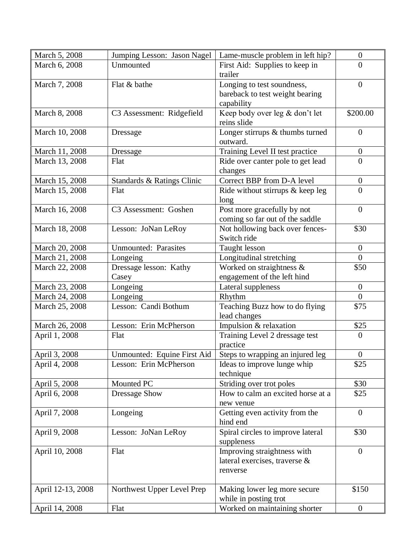| March 5, 2008     | Jumping Lesson: Jason Nagel | Lame-muscle problem in left hip?   | $\overline{0}$   |
|-------------------|-----------------------------|------------------------------------|------------------|
| March 6, 2008     | Unmounted                   | First Aid: Supplies to keep in     | $\Omega$         |
|                   |                             | trailer                            |                  |
| March 7, 2008     | Flat & bathe                | Longing to test soundness,         | $\theta$         |
|                   |                             | bareback to test weight bearing    |                  |
|                   |                             | capability                         |                  |
| March 8, 2008     | C3 Assessment: Ridgefield   | Keep body over leg & don't let     | \$200.00         |
|                   |                             | reins slide                        |                  |
| March 10, 2008    | Dressage                    | Longer stirrups & thumbs turned    | $\overline{0}$   |
|                   |                             | outward.                           |                  |
| March 11, 2008    | Dressage                    | Training Level II test practice    | $\overline{0}$   |
| March 13, 2008    | Flat                        | Ride over canter pole to get lead  | $\overline{0}$   |
|                   |                             | changes                            |                  |
| March 15, 2008    | Standards & Ratings Clinic  | Correct BBP from D-A level         | $\overline{0}$   |
| March 15, 2008    | Flat                        | Ride without stirrups $&$ keep leg | $\overline{0}$   |
|                   |                             | long                               |                  |
| March 16, 2008    | C3 Assessment: Goshen       | Post more gracefully by not        | $\overline{0}$   |
|                   |                             | coming so far out of the saddle    |                  |
| March 18, 2008    | Lesson: JoNan LeRoy         | Not hollowing back over fences-    | \$30             |
|                   |                             | Switch ride                        |                  |
| March 20, 2008    | <b>Unmounted: Parasites</b> | Taught lesson                      | $\mathbf{0}$     |
| March 21, 2008    | Longeing                    | Longitudinal stretching            | $\overline{0}$   |
| March 22, 2008    | Dressage lesson: Kathy      | Worked on straightness $\&$        | \$50             |
|                   | Casey                       | engagement of the left hind        |                  |
| March 23, 2008    | Longeing                    | Lateral suppleness                 | $\overline{0}$   |
| March 24, 2008    | Longeing                    | Rhythm                             | $\overline{0}$   |
| March 25, 2008    | Lesson: Candi Bothum        | Teaching Buzz how to do flying     | \$75             |
|                   |                             | lead changes                       |                  |
| March 26, 2008    | Lesson: Erin McPherson      | Impulsion & relaxation             | \$25             |
| April 1, 2008     | Flat                        | Training Level 2 dressage test     | $\overline{0}$   |
|                   |                             | practice                           |                  |
| April 3, 2008     | Unmounted: Equine First Aid | Steps to wrapping an injured leg   | $\boldsymbol{0}$ |
| April 4, 2008     | Lesson: Erin McPherson      | Ideas to improve lunge whip        | \$25             |
|                   |                             | technique                          |                  |
| April 5, 2008     | Mounted PC                  | Striding over trot poles           | \$30             |
| April 6, 2008     | <b>Dressage Show</b>        | How to calm an excited horse at a  | \$25             |
|                   |                             | new venue                          |                  |
| April 7, 2008     | Longeing                    | Getting even activity from the     | $\overline{0}$   |
|                   |                             | hind end                           |                  |
| April 9, 2008     | Lesson: JoNan LeRoy         | Spiral circles to improve lateral  | \$30             |
|                   |                             | suppleness                         |                  |
| April 10, 2008    | Flat                        | Improving straightness with        | $\mathbf{0}$     |
|                   |                             | lateral exercises, traverse &      |                  |
|                   |                             | renverse                           |                  |
|                   |                             |                                    |                  |
| April 12-13, 2008 | Northwest Upper Level Prep  | Making lower leg more secure       | \$150            |
|                   |                             | while in posting trot              |                  |
| April 14, 2008    | Flat                        | Worked on maintaining shorter      | $\boldsymbol{0}$ |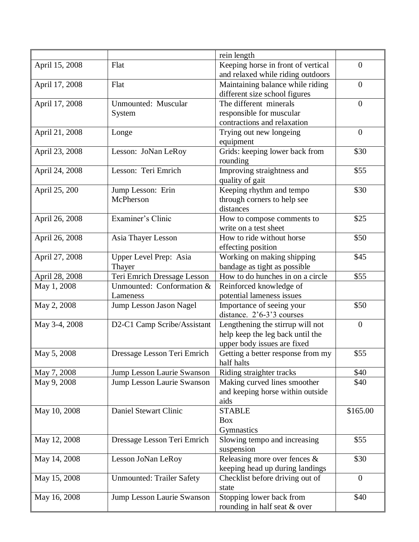|                |                                  | rein length                        |                  |
|----------------|----------------------------------|------------------------------------|------------------|
| April 15, 2008 | Flat                             | Keeping horse in front of vertical | $\overline{0}$   |
|                |                                  | and relaxed while riding outdoors  |                  |
| April 17, 2008 | Flat                             | Maintaining balance while riding   | $\overline{0}$   |
|                |                                  | different size school figures      |                  |
| April 17, 2008 | Unmounted: Muscular              | The different minerals             | $\boldsymbol{0}$ |
|                | System                           | responsible for muscular           |                  |
|                |                                  | contractions and relaxation        |                  |
| April 21, 2008 | Longe                            | Trying out new longeing            | $\boldsymbol{0}$ |
|                |                                  | equipment                          |                  |
| April 23, 2008 | Lesson: JoNan LeRoy              | Grids: keeping lower back from     | \$30             |
|                |                                  | rounding                           |                  |
| April 24, 2008 | Lesson: Teri Emrich              | Improving straightness and         | \$55             |
|                |                                  | quality of gait                    |                  |
| April 25, 200  | Jump Lesson: Erin                | Keeping rhythm and tempo           | \$30             |
|                | McPherson                        | through corners to help see        |                  |
|                |                                  | distances                          |                  |
| April 26, 2008 | Examiner's Clinic                | How to compose comments to         | \$25             |
|                |                                  | write on a test sheet              |                  |
| April 26, 2008 | Asia Thayer Lesson               | How to ride without horse          | \$50             |
|                |                                  | effecting position                 |                  |
| April 27, 2008 | Upper Level Prep: Asia           | Working on making shipping         | \$45             |
|                | Thayer                           | bandage as tight as possible       |                  |
| April 28, 2008 | Teri Emrich Dressage Lesson      | How to do hunches in on a circle   | \$55             |
| May 1, 2008    | Unmounted: Conformation &        | Reinforced knowledge of            |                  |
|                | Lameness                         | potential lameness issues          |                  |
| May 2, 2008    | Jump Lesson Jason Nagel          | Importance of seeing your          | \$50             |
|                |                                  | distance. 2'6-3'3 courses          |                  |
| May 3-4, 2008  | D2-C1 Camp Scribe/Assistant      | Lengthening the stirrup will not   | $\overline{0}$   |
|                |                                  | help keep the leg back until the   |                  |
|                |                                  | upper body issues are fixed        |                  |
| May 5, 2008    | Dressage Lesson Teri Emrich      | Getting a better response from my  | \$55             |
|                |                                  | half halts                         |                  |
| May 7, 2008    | Jump Lesson Laurie Swanson       | Riding straighter tracks           | \$40             |
| May 9, 2008    | Jump Lesson Laurie Swanson       | Making curved lines smoother       | \$40             |
|                |                                  | and keeping horse within outside   |                  |
|                |                                  | aids                               |                  |
| May 10, 2008   | Daniel Stewart Clinic            | <b>STABLE</b>                      | \$165.00         |
|                |                                  | <b>Box</b>                         |                  |
|                |                                  | Gymnastics                         |                  |
| May 12, 2008   | Dressage Lesson Teri Emrich      | Slowing tempo and increasing       | \$55             |
|                |                                  | suspension                         |                  |
| May 14, 2008   | Lesson JoNan LeRoy               | Releasing more over fences &       | \$30             |
|                |                                  | keeping head up during landings    |                  |
| May 15, 2008   | <b>Unmounted: Trailer Safety</b> | Checklist before driving out of    | $\overline{0}$   |
|                |                                  | state                              |                  |
| May 16, 2008   | Jump Lesson Laurie Swanson       | Stopping lower back from           | \$40             |
|                |                                  | rounding in half seat & over       |                  |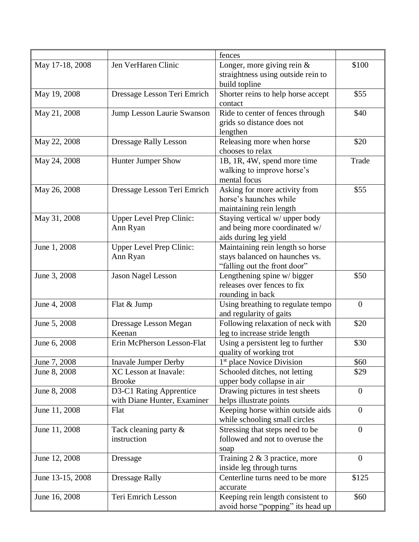|                  |                                 | fences                                                             |                |
|------------------|---------------------------------|--------------------------------------------------------------------|----------------|
| May 17-18, 2008  | Jen VerHaren Clinic             | Longer, more giving rein $&$                                       | \$100          |
|                  |                                 | straightness using outside rein to                                 |                |
|                  |                                 | build topline                                                      |                |
| May 19, 2008     | Dressage Lesson Teri Emrich     | Shorter reins to help horse accept                                 | \$55           |
|                  |                                 | contact                                                            |                |
| May 21, 2008     | Jump Lesson Laurie Swanson      | Ride to center of fences through                                   | \$40           |
|                  |                                 | grids so distance does not                                         |                |
|                  |                                 | lengthen                                                           |                |
| May 22, 2008     | <b>Dressage Rally Lesson</b>    | Releasing more when horse                                          | \$20           |
|                  |                                 | chooses to relax                                                   |                |
| May 24, 2008     | <b>Hunter Jumper Show</b>       | 1B, 1R, 4W, spend more time                                        | Trade          |
|                  |                                 | walking to improve horse's                                         |                |
|                  |                                 | mental focus                                                       |                |
| May 26, 2008     | Dressage Lesson Teri Emrich     | Asking for more activity from                                      | \$55           |
|                  |                                 | horse's haunches while                                             |                |
|                  |                                 | maintaining rein length                                            |                |
| May 31, 2008     | <b>Upper Level Prep Clinic:</b> | Staying vertical w/ upper body                                     |                |
|                  | Ann Ryan                        | and being more coordinated w/                                      |                |
|                  |                                 | aids during leg yield                                              |                |
| June 1, 2008     | <b>Upper Level Prep Clinic:</b> | Maintaining rein length so horse                                   |                |
|                  | Ann Ryan                        | stays balanced on haunches vs.                                     |                |
|                  |                                 | "falling out the front door"                                       |                |
| June 3, 2008     | <b>Jason Nagel Lesson</b>       | Lengthening spine w/ bigger                                        | \$50           |
|                  |                                 | releases over fences to fix                                        |                |
|                  |                                 | rounding in back                                                   |                |
| June 4, 2008     | Flat & Jump                     | Using breathing to regulate tempo                                  | $\mathbf{0}$   |
|                  |                                 | and regularity of gaits                                            |                |
| June 5, 2008     | Dressage Lesson Megan           | Following relaxation of neck with                                  | \$20           |
|                  | Keenan                          | leg to increase stride length                                      |                |
| June 6, 2008     | Erin McPherson Lesson-Flat      | Using a persistent leg to further                                  | \$30           |
|                  |                                 | quality of working trot                                            |                |
| June 7, 2008     | <b>Inavale Jumper Derby</b>     | 1 <sup>st</sup> place Novice Division                              | \$60           |
| June 8, 2008     | <b>XC</b> Lesson at Inavale:    | Schooled ditches, not letting                                      | \$29           |
|                  | <b>Brooke</b>                   | upper body collapse in air                                         |                |
| June 8, 2008     | D3-C1 Rating Apprentice         | Drawing pictures in test sheets                                    | $\mathbf{0}$   |
|                  | with Diane Hunter, Examiner     | helps illustrate points                                            |                |
| June 11, 2008    | Flat                            | Keeping horse within outside aids                                  | $\overline{0}$ |
|                  |                                 | while schooling small circles                                      |                |
| June 11, 2008    | Tack cleaning party $\&$        | Stressing that steps need to be<br>followed and not to overuse the | $\overline{0}$ |
|                  | instruction                     |                                                                    |                |
|                  |                                 | soap                                                               | $\mathbf{0}$   |
| June 12, 2008    | Dressage                        | Training $2 \& 3$ practice, more                                   |                |
| June 13-15, 2008 |                                 | inside leg through turns<br>Centerline turns need to be more       | \$125          |
|                  | <b>Dressage Rally</b>           |                                                                    |                |
| June 16, 2008    | Teri Emrich Lesson              | accurate<br>Keeping rein length consistent to                      | \$60           |
|                  |                                 | avoid horse "popping" its head up                                  |                |
|                  |                                 |                                                                    |                |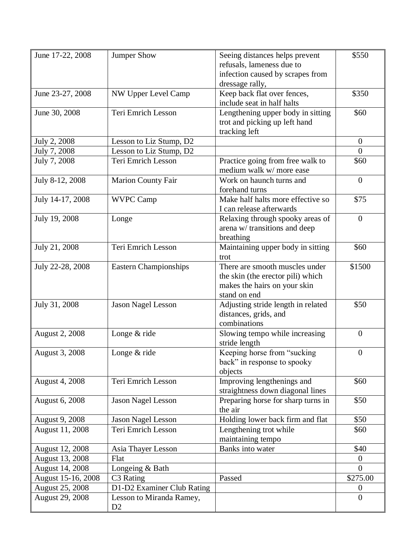| June 17-22, 2008       | <b>Jumper Show</b>           | Seeing distances helps prevent     | \$550            |
|------------------------|------------------------------|------------------------------------|------------------|
|                        |                              | refusals, lameness due to          |                  |
|                        |                              | infection caused by scrapes from   |                  |
|                        |                              | dressage rally,                    |                  |
| June 23-27, 2008       | NW Upper Level Camp          | Keep back flat over fences,        | \$350            |
|                        |                              | include seat in half halts         |                  |
| June 30, 2008          | Teri Emrich Lesson           | Lengthening upper body in sitting  | \$60             |
|                        |                              | trot and picking up left hand      |                  |
|                        |                              | tracking left                      |                  |
| July 2, 2008           | Lesson to Liz Stump, D2      |                                    | $\overline{0}$   |
| July 7, 2008           | Lesson to Liz Stump, D2      |                                    | $\theta$         |
| July 7, 2008           | Teri Emrich Lesson           | Practice going from free walk to   | \$60             |
|                        |                              | medium walk w/ more ease           |                  |
| July 8-12, 2008        | <b>Marion County Fair</b>    | Work on haunch turns and           | $\overline{0}$   |
|                        |                              | forehand turns                     |                  |
| July 14-17, 2008       | <b>WVPC Camp</b>             | Make half halts more effective so  | \$75             |
|                        |                              | I can release afterwards           |                  |
| July 19, 2008          | Longe                        | Relaxing through spooky areas of   | $\overline{0}$   |
|                        |                              | arena w/ transitions and deep      |                  |
|                        |                              | breathing                          |                  |
| July 21, 2008          | Teri Emrich Lesson           | Maintaining upper body in sitting  | \$60             |
|                        |                              | trot                               |                  |
| July 22-28, 2008       | <b>Eastern Championships</b> | There are smooth muscles under     | \$1500           |
|                        |                              | the skin (the erector pili) which  |                  |
|                        |                              | makes the hairs on your skin       |                  |
|                        |                              | stand on end                       |                  |
| July 31, 2008          | <b>Jason Nagel Lesson</b>    | Adjusting stride length in related | \$50             |
|                        |                              | distances, grids, and              |                  |
|                        |                              | combinations                       |                  |
| <b>August 2, 2008</b>  | Longe & ride                 | Slowing tempo while increasing     | $\boldsymbol{0}$ |
|                        |                              | stride length                      |                  |
| August 3, 2008         | Longe $&$ ride               | Keeping horse from "sucking        | $\overline{0}$   |
|                        |                              | back" in response to spooky        |                  |
|                        |                              | objects                            |                  |
| <b>August 4, 2008</b>  | Teri Emrich Lesson           | Improving lengthenings and         | \$60             |
|                        |                              | straightness down diagonal lines   |                  |
| August 6, 2008         | Jason Nagel Lesson           | Preparing horse for sharp turns in | \$50             |
|                        |                              | the air                            |                  |
| <b>August 9, 2008</b>  | <b>Jason Nagel Lesson</b>    | Holding lower back firm and flat   | \$50             |
| August 11, 2008        | Teri Emrich Lesson           | Lengthening trot while             | \$60             |
|                        |                              | maintaining tempo                  |                  |
| <b>August 12, 2008</b> | Asia Thayer Lesson           | Banks into water                   | \$40             |
| <b>August 13, 2008</b> | Flat                         |                                    | $\overline{0}$   |
| <b>August 14, 2008</b> | Longeing & Bath              |                                    | $\Omega$         |
| August 15-16, 2008     | C3 Rating                    | Passed                             | \$275.00         |
| August 25, 2008        | D1-D2 Examiner Club Rating   |                                    | $\boldsymbol{0}$ |
| <b>August 29, 2008</b> | Lesson to Miranda Ramey,     |                                    | $\overline{0}$   |
|                        | D <sub>2</sub>               |                                    |                  |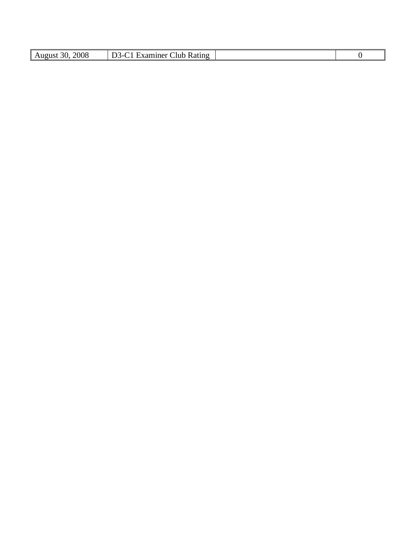| 2008<br><b>Rating</b><br>.lub<br>.1ner<br>August<br>'Яì<br>າເປ<br>`- |  |  |
|----------------------------------------------------------------------|--|--|
|                                                                      |  |  |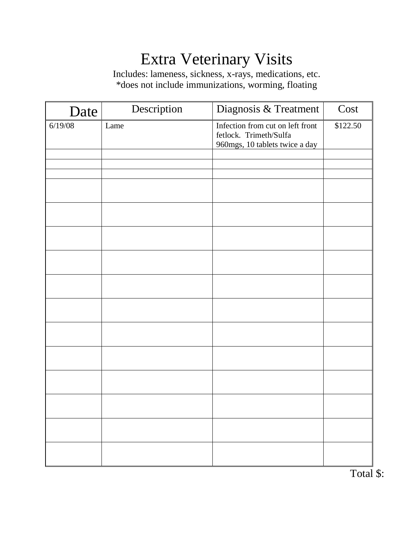# Extra Veterinary Visits

Includes: lameness, sickness, x-rays, medications, etc. \*does not include immunizations, worming, floating

| Date    | Description | Diagnosis & Treatment                                                                        | Cost     |
|---------|-------------|----------------------------------------------------------------------------------------------|----------|
| 6/19/08 | Lame        | Infection from cut on left front<br>fetlock. Trimeth/Sulfa<br>960mgs, 10 tablets twice a day | \$122.50 |
|         |             |                                                                                              |          |
|         |             |                                                                                              |          |
|         |             |                                                                                              |          |
|         |             |                                                                                              |          |
|         |             |                                                                                              |          |
|         |             |                                                                                              |          |
|         |             |                                                                                              |          |
|         |             |                                                                                              |          |
|         |             |                                                                                              |          |
|         |             |                                                                                              |          |
|         |             |                                                                                              |          |
|         |             |                                                                                              |          |
|         |             |                                                                                              |          |
|         |             |                                                                                              |          |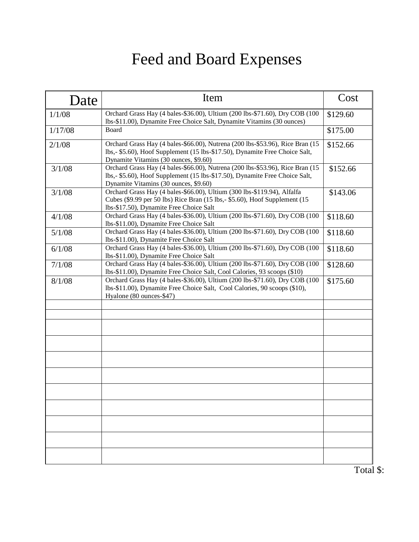# Feed and Board Expenses

| Date    | Item                                                                                                                                                                                                  | Cost     |
|---------|-------------------------------------------------------------------------------------------------------------------------------------------------------------------------------------------------------|----------|
| 1/1/08  | Orchard Grass Hay (4 bales-\$36.00), Ultium (200 lbs-\$71.60), Dry COB (100<br>lbs-\$11.00), Dynamite Free Choice Salt, Dynamite Vitamins (30 ounces)                                                 | \$129.60 |
| 1/17/08 | Board                                                                                                                                                                                                 | \$175.00 |
| 2/1/08  | Orchard Grass Hay (4 bales-\$66.00), Nutrena (200 lbs-\$53.96), Rice Bran (15<br>lbs,- \$5.60), Hoof Supplement (15 lbs-\$17.50), Dynamite Free Choice Salt,<br>Dynamite Vitamins (30 ounces, \$9.60) | \$152.66 |
| 3/1/08  | Orchard Grass Hay (4 bales-\$66.00), Nutrena (200 lbs-\$53.96), Rice Bran (15<br>lbs,- \$5.60), Hoof Supplement (15 lbs-\$17.50), Dynamite Free Choice Salt,<br>Dynamite Vitamins (30 ounces, \$9.60) | \$152.66 |
| 3/1/08  | Orchard Grass Hay (4 bales-\$66.00), Ultium (300 lbs-\$119.94), Alfalfa<br>Cubes (\$9.99 per 50 lbs) Rice Bran (15 lbs,- \$5.60), Hoof Supplement (15<br>lbs-\$17.50), Dynamite Free Choice Salt      | \$143.06 |
| 4/1/08  | Orchard Grass Hay (4 bales-\$36.00), Ultium (200 lbs-\$71.60), Dry COB (100<br>lbs-\$11.00), Dynamite Free Choice Salt                                                                                | \$118.60 |
| 5/1/08  | Orchard Grass Hay (4 bales-\$36.00), Ultium (200 lbs-\$71.60), Dry COB (100<br>lbs-\$11.00), Dynamite Free Choice Salt                                                                                | \$118.60 |
| 6/1/08  | Orchard Grass Hay (4 bales-\$36.00), Ultium (200 lbs-\$71.60), Dry COB (100<br>lbs-\$11.00), Dynamite Free Choice Salt                                                                                | \$118.60 |
| 7/1/08  | Orchard Grass Hay (4 bales-\$36.00), Ultium (200 lbs-\$71.60), Dry COB (100<br>lbs-\$11.00), Dynamite Free Choice Salt, Cool Calories, 93 scoops (\$10)                                               | \$128.60 |
| 8/1/08  | Orchard Grass Hay (4 bales-\$36.00), Ultium (200 lbs-\$71.60), Dry COB (100<br>lbs-\$11.00), Dynamite Free Choice Salt, Cool Calories, 90 scoops (\$10),<br>Hyalone (80 ounces-\$47)                  | \$175.60 |
|         |                                                                                                                                                                                                       |          |
|         |                                                                                                                                                                                                       |          |
|         |                                                                                                                                                                                                       |          |
|         |                                                                                                                                                                                                       |          |
|         |                                                                                                                                                                                                       |          |
|         |                                                                                                                                                                                                       |          |
|         |                                                                                                                                                                                                       |          |
|         |                                                                                                                                                                                                       |          |
|         |                                                                                                                                                                                                       |          |
|         |                                                                                                                                                                                                       |          |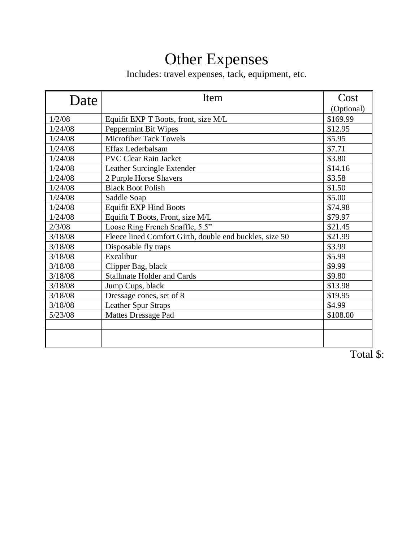## Other Expenses

Includes: travel expenses, tack, equipment, etc.

| Date    | Item                                                    | Cost       |
|---------|---------------------------------------------------------|------------|
|         |                                                         | (Optional) |
| 1/2/08  | Equifit EXP T Boots, front, size M/L                    | \$169.99   |
| 1/24/08 | Peppermint Bit Wipes                                    | \$12.95    |
| 1/24/08 | <b>Microfiber Tack Towels</b>                           | \$5.95     |
| 1/24/08 | Effax Lederbalsam                                       | \$7.71     |
| 1/24/08 | <b>PVC Clear Rain Jacket</b>                            | \$3.80     |
| 1/24/08 | Leather Surcingle Extender                              | \$14.16    |
| 1/24/08 | 2 Purple Horse Shavers                                  | \$3.58     |
| 1/24/08 | <b>Black Boot Polish</b>                                | \$1.50     |
| 1/24/08 | Saddle Soap                                             | \$5.00     |
| 1/24/08 | <b>Equifit EXP Hind Boots</b>                           | \$74.98    |
| 1/24/08 | Equifit T Boots, Front, size M/L                        | \$79.97    |
| 2/3/08  | Loose Ring French Snaffle, 5.5"                         | \$21.45    |
| 3/18/08 | Fleece lined Comfort Girth, double end buckles, size 50 | \$21.99    |
| 3/18/08 | Disposable fly traps                                    | \$3.99     |
| 3/18/08 | Excalibur                                               | \$5.99     |
| 3/18/08 | Clipper Bag, black                                      | \$9.99     |
| 3/18/08 | <b>Stallmate Holder and Cards</b>                       | \$9.80     |
| 3/18/08 | Jump Cups, black                                        | \$13.98    |
| 3/18/08 | Dressage cones, set of 8                                | \$19.95    |
| 3/18/08 | <b>Leather Spur Straps</b>                              | \$4.99     |
| 5/23/08 | <b>Mattes Dressage Pad</b>                              | \$108.00   |
|         |                                                         |            |
|         |                                                         |            |
|         |                                                         |            |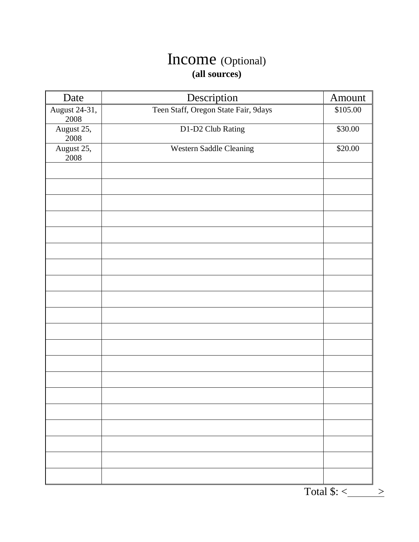### Income (Optional) **(all sources)**

| Date                   | Description                          | Amount   |
|------------------------|--------------------------------------|----------|
| August 24-31,<br>2008  | Teen Staff, Oregon State Fair, 9days | \$105.00 |
| August 25,<br>$2008\,$ | D1-D2 Club Rating                    | \$30.00  |
| August 25,<br>2008     | Western Saddle Cleaning              | \$20.00  |
|                        |                                      |          |
|                        |                                      |          |
|                        |                                      |          |
|                        |                                      |          |
|                        |                                      |          |
|                        |                                      |          |
|                        |                                      |          |
|                        |                                      |          |
|                        |                                      |          |
|                        |                                      |          |
|                        |                                      |          |
|                        |                                      |          |
|                        |                                      |          |
|                        |                                      |          |
|                        |                                      |          |
|                        |                                      |          |
|                        |                                      |          |
|                        |                                      |          |
|                        |                                      |          |
|                        |                                      |          |

Total  $\frac{\sqrt{5}}{2}$  >  $\frac{\sqrt{5}}{2}$